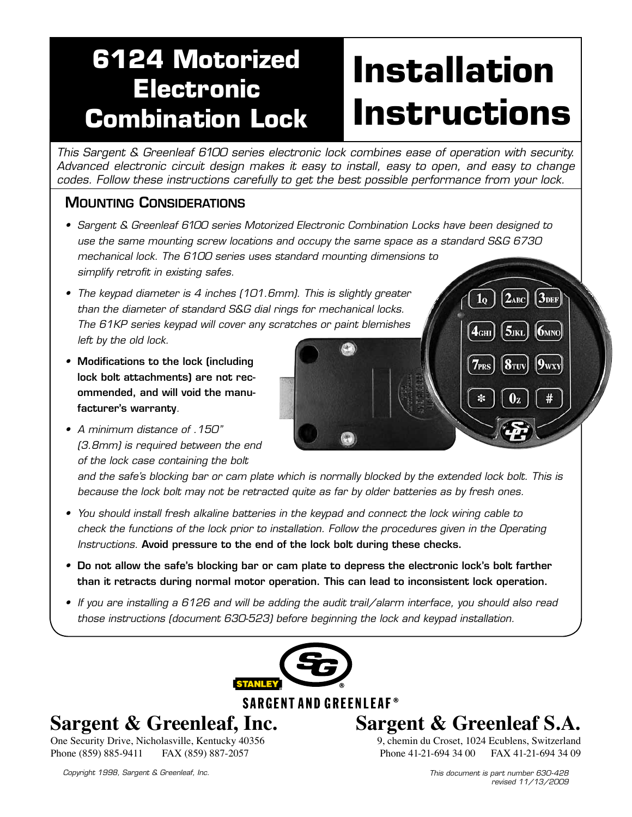# **6124 Motorized Electronic Combination Lock**

# **Installation Instructions**

 $\mathbf{1}_{\mathbf{Q}}$ 

 $\mathbf{4}_{\text{CHI}}$ 

 $3<sub>DEF</sub>$ 

**6MNO** 

 $9_{\rm WXY}$ 

 $2_{ABC}$ 

*This Sargent & Greenleaf 6100 series electronic lock combines ease of operation with security. Advanced electronic circuit design makes it easy to install, easy to open, and easy to change codes. Follow these instructions carefully to get the best possible performance from your lock.*

# Mounting Considerations

- *• Sargent & Greenleaf 6100 series Motorized Electronic Combination Locks have been designed to use the same mounting screw locations and occupy the same space as a standard S&G 6730 mechanical lock. The 6100 series uses standard mounting dimensions to simplify retrofit in existing safes.*
- *• The keypad diameter is 4 inches (101.6mm). This is slightly greater than the diameter of standard S&G dial rings for mechanical locks. The 61KP series keypad will cover any scratches or paint blemishes left by the old lock.*
- *•* Modifications to the lock (including lock bolt attachments) are not recommended, and will void the manufacturer's warranty*.*
- *• A minimum distance of .150" (3.8mm) is required between the end of the lock case containing the bolt*

and the safe's blocking bar or cam plate which is normally blocked by the extended lock bolt. This is *because the lock bolt may not be retracted quite as far by older batteries as by fresh ones.*

- *• You should install fresh alkaline batteries in the keypad and connect the lock wiring cable to check the functions of the lock prior to installation. Follow the procedures given in the Operating Instructions.* Avoid pressure to the end of the lock bolt during these checks.
- Do not allow the safe's blocking bar or cam plate to depress the electronic lock's bolt farther than it retracts during normal motor operation. This can lead to inconsistent lock operation.
- *If you are installing a 6126 and will be adding the audit trail/alarm interface, you should also read those instructions (document 630-523) before beginning the lock and keypad installation.*



**SARGENT AND GREENLEAF®** 

# **Sargent & Greenleaf, Inc.**

One Security Drive, Nicholasville, Kentucky 40356<br>Phone (859) 885-9411 FAX (859) 887-2057 Phone (859) 885-9411

*Copyright 1998, Sargent & Greenleaf, Inc. This document is part number 630-428*

**Sargent & Greenleaf S.A.** 9, chemin du Croset, 1024 Ecublens, Switzerland

Phone 41-21-694 34 00 FAX 41-21-694 34 09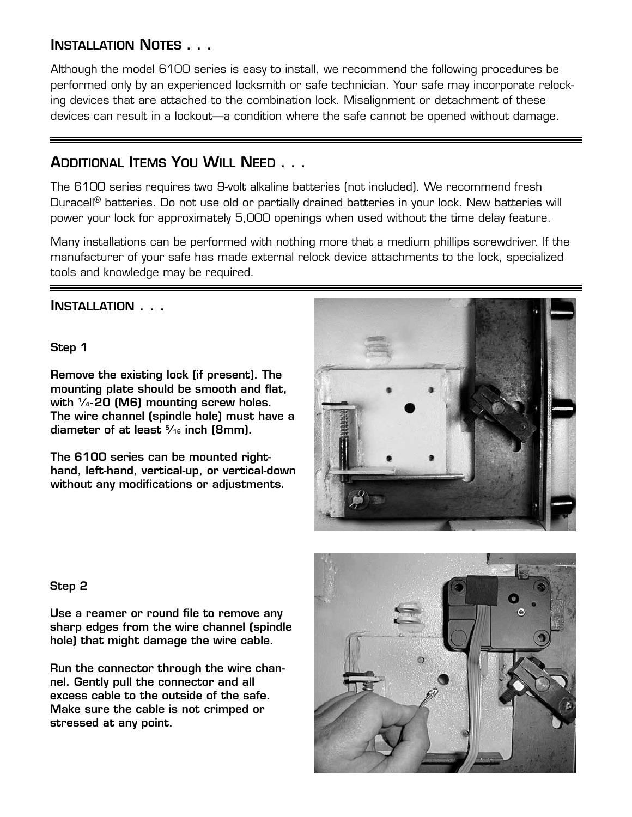# Installation Notes . . .

Although the model 6100 series is easy to install, we recommend the following procedures be performed only by an experienced locksmith or safe technician. Your safe may incorporate relocking devices that are attached to the combination lock. Misalignment or detachment of these devices can result in a lockout—a condition where the safe cannot be opened without damage.

## Additional Items You Will Need . . .

The 6100 series requires two 9-volt alkaline batteries (not included). We recommend fresh Duracell<sup>®</sup> batteries. Do not use old or partially drained batteries in your lock. New batteries will power your lock for approximately 5,000 openings when used without the time delay feature.

Many installations can be performed with nothing more that a medium phillips screwdriver. If the manufacturer of your safe has made external relock device attachments to the lock, specialized tools and knowledge may be required.

## Installation . . .

Step 1

Remove the existing lock (if present). The mounting plate should be smooth and flat, with  $\frac{1}{4}$ -20 (M6) mounting screw holes. The wire channel (spindle hole) must have a diameter of at least 5 ⁄16 inch (8mm).

The 6100 series can be mounted righthand, left-hand, vertical-up, or vertical-down without any modifications or adjustments.



#### Step 2

Use a reamer or round file to remove any sharp edges from the wire channel (spindle hole) that might damage the wire cable.

Run the connector through the wire channel. Gently pull the connector and all excess cable to the outside of the safe. Make sure the cable is not crimped or stressed at any point.

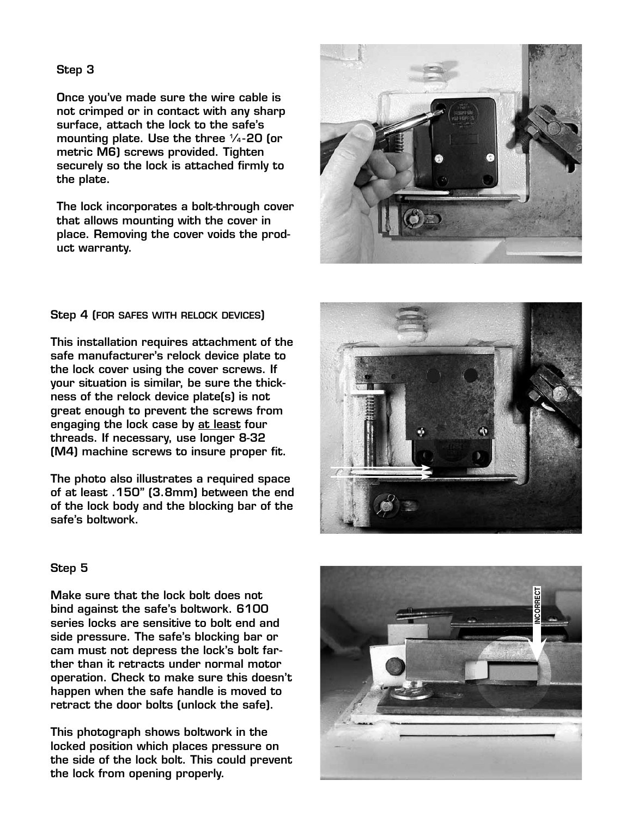Once you've made sure the wire cable is not crimped or in contact with any sharp surface, attach the lock to the safe's mounting plate. Use the three  $\frac{1}{4}$ -20 (or metric M6) screws provided. Tighten securely so the lock is attached firmly to the plate.

The lock incorporates a bolt-through cover that allows mounting with the cover in place. Removing the cover voids the prod uct warranty.



#### Step 4 (FOR SAFES WITH RELOCK DEVICES)  $\overline{\phantom{a}}$

This installation requires attachment of the safe manufacturer's relock device plate to the lock cover using the cover screws. If your situation is similar, be sure the thickness of the relock device plate(s) is not great enough to prevent the screws from engaging the lock case by at least four threads. If necessary, use longer 8-32 (M4) machine screws to insure proper fit.

The photo also illustrates a required space of at least .150" (3.8mm) between the end of the lock body and the blocking bar of the safe's boltwork.



#### Step 5

Make sure that the lock bolt does not bind against the safe's boltwork. 6100 series locks are sensitive to bolt end and side pressure. The safe's blocking bar or cam must not depress the lock's bolt far ther than it retracts under normal motor operation. Check to make sure this doesn't happen when the safe handle is moved to retract the door bolts (unlock the safe).

This photograph shows boltwork in the locked position which places pressure on the side of the lock bolt. This could prevent the lock from opening properly.

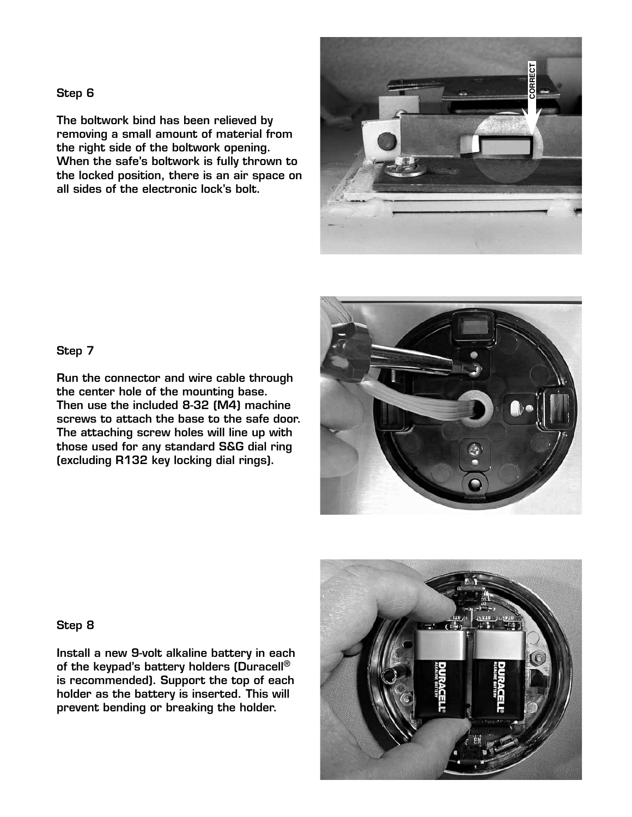The boltwork bind has been relieved by removing a small amount of material from the right side of the boltwork opening. When the safe's boltwork is fully thrown to the locked position, there is an air space on all sides of the electronic lock's bolt.



#### Step 7

Run the connector and wire cable through the center hole of the mounting base. Then use the included 8-32 (M4) machine screws to attach the base to the safe door. The attaching screw holes will line up with those used for any standard S&G dial ring (excluding R132 key locking dial rings).



#### Step 8

Install a new 9-volt alkaline battery in each of the keypad's battery holders (Duracell<sup>®</sup> is recommended). Support the top of each holder as the battery is inserted. This will prevent bending or breaking the holder.

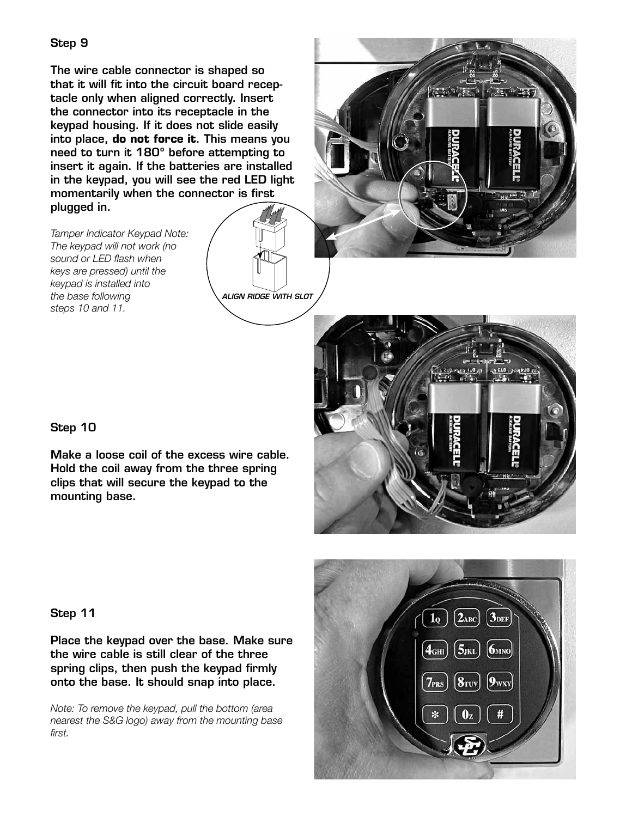The wire cable connector is shaped so that it will fit into the circuit board receptacle only when aligned correctly. Insert the connector into its receptacle in the keypad housing. If it does not slide easily into place, **do not force it**. This means you need to turn it 180º before attempting to insert it again. If the batteries are installed in the keypad, you will see the red LED light momentarily when the connector is first plugged in.

*ALIGN RIDGE WITH SLOT*

*Tamper Indicator Keypad Note: The keypad will not work (no sound or LED flash when keys are pressed) until the keypad is installed into the base following steps 10 and 11.*





#### Step 10

Make a loose coil of the excess wire cable. Hold the coil away from the three spring clips that will secure the keypad to the mounting base.

#### Step 11

Place the keypad over the base. Make sure the wire cable is still clear of the three spring clips, then push the keypad firmly onto the base. It should snap into place.

*Note: To remove the keypad, pull the bottom (area nearest the S&G logo) away from the mounting base first.*